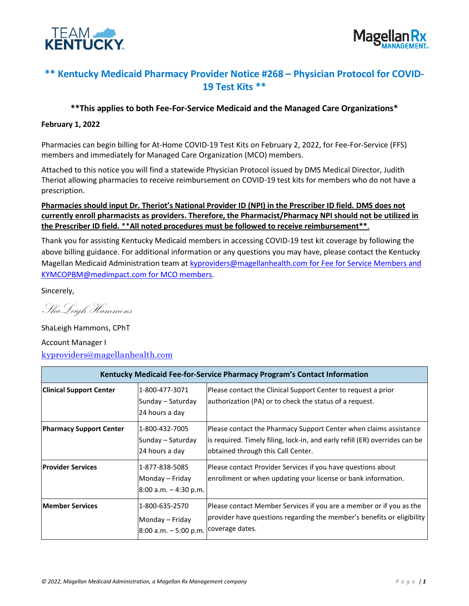



# **\*\* Kentucky Medicaid Pharmacy Provider Notice #268 – Physician Protocol for COVID-19 Test Kits \*\***

## **\*\*This applies to both Fee-For-Service Medicaid and the Managed Care Organizations\***

#### **February 1, 2022**

Pharmacies can begin billing for At-Home COVID-19 Test Kits on February 2, 2022, for Fee-For-Service (FFS) members and immediately for Managed Care Organization (MCO) members.

Attached to this notice you will find a statewide Physician Protocol issued by DMS Medical Director, Judith Theriot allowing pharmacies to receive reimbursement on COVID-19 test kits for members who do not have a prescription.

# **Pharmacies should input Dr. Theriot's National Provider ID (NPI) in the Prescriber ID field. DMS does not currently enroll pharmacists as providers. Therefore, the Pharmacist/Pharmacy NPI should not be utilized in the Prescriber ID field.** \*\***All noted procedures must be followed to receive reimbursement\*\***.

Thank you for assisting Kentucky Medicaid members in accessing COVID-19 test kit coverage by following the above billing guidance. For additional information or any questions you may have, please contact the Kentucky Magellan Medicaid Administration team at [kyproviders@magellanhealth.com](mailto:kyproviders@magellanhealth.com) for Fee for Service Members and [KYMCOPBM@medimpact.com](mailto:KYMCOPBM@medimpact.com) for MCO members.

Sincerely,

ShaLeigh Hammons

ShaLeigh Hammons, CPhT Account Manager I

[kyproviders@magellanhealth.com](mailto:kyproviders@magellanhealth.com)

|                                |                                                                            | Kentucky Medicaid Fee-for-Service Pharmacy Program's Contact Information                                                                                                               |
|--------------------------------|----------------------------------------------------------------------------|----------------------------------------------------------------------------------------------------------------------------------------------------------------------------------------|
| <b>Clinical Support Center</b> | 1-800-477-3071<br>Sunday - Saturday<br>24 hours a day                      | Please contact the Clinical Support Center to request a prior<br>authorization (PA) or to check the status of a request.                                                               |
| <b>Pharmacy Support Center</b> | 1-800-432-7005<br>Sunday – Saturday<br>24 hours a day                      | Please contact the Pharmacy Support Center when claims assistance<br>is required. Timely filing, lock-in, and early refill (ER) overrides can be<br>obtained through this Call Center. |
| <b>Provider Services</b>       | 1-877-838-5085<br>Monday - Friday<br>$8:00$ a.m. $-4:30$ p.m.              | Please contact Provider Services if you have questions about<br>enrollment or when updating your license or bank information.                                                          |
| <b>Member Services</b>         | 1-800-635-2570<br>Monday – Friday<br>8:00 a.m. – 5:00 p.m. coverage dates. | Please contact Member Services if you are a member or if you as the<br>provider have questions regarding the member's benefits or eligibility                                          |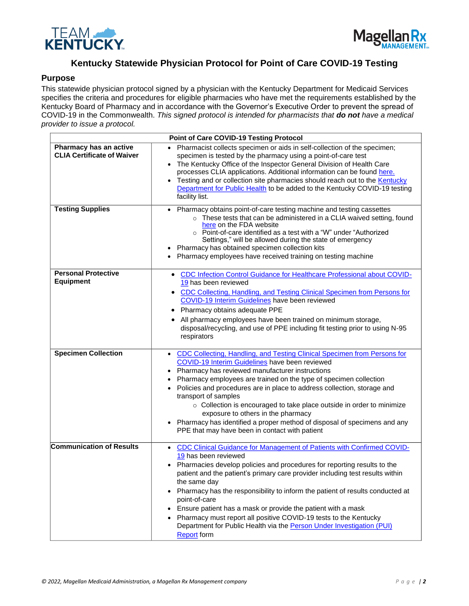



# **Kentucky Statewide Physician Protocol for Point of Care COVID-19 Testing**

### **Purpose**

This statewide physician protocol signed by a physician with the Kentucky Department for Medicaid Services specifies the criteria and procedures for eligible pharmacies who have met the requirements established by the Kentucky Board of Pharmacy and in accordance with the Governor's Executive Order to prevent the spread of COVID-19 in the Commonwealth. *This signed protocol is intended for pharmacists that do not have a medical provider to issue a protocol.*

|                                                             | <b>Point of Care COVID-19 Testing Protocol</b>                                                                                                                                                                                                                                                                                                                                                                                                                                                                                                                                                                               |
|-------------------------------------------------------------|------------------------------------------------------------------------------------------------------------------------------------------------------------------------------------------------------------------------------------------------------------------------------------------------------------------------------------------------------------------------------------------------------------------------------------------------------------------------------------------------------------------------------------------------------------------------------------------------------------------------------|
| Pharmacy has an active<br><b>CLIA Certificate of Waiver</b> | Pharmacist collects specimen or aids in self-collection of the specimen;<br>specimen is tested by the pharmacy using a point-of-care test<br>The Kentucky Office of the Inspector General Division of Health Care<br>processes CLIA applications. Additional information can be found here.<br>Testing and or collection site pharmacies should reach out to the <b>Kentucky</b><br>$\bullet$<br>Department for Public Health to be added to the Kentucky COVID-19 testing<br>facility list.                                                                                                                                 |
| <b>Testing Supplies</b>                                     | Pharmacy obtains point-of-care testing machine and testing cassettes<br>o These tests that can be administered in a CLIA waived setting, found<br>here on the FDA website<br>○ Point-of-care identified as a test with a "W" under "Authorized<br>Settings," will be allowed during the state of emergency<br>Pharmacy has obtained specimen collection kits<br>Pharmacy employees have received training on testing machine                                                                                                                                                                                                 |
| <b>Personal Protective</b><br><b>Equipment</b>              | CDC Infection Control Guidance for Healthcare Professional about COVID-<br>19 has been reviewed<br>• CDC Collecting, Handling, and Testing Clinical Specimen from Persons for<br>COVID-19 Interim Guidelines have been reviewed<br>Pharmacy obtains adequate PPE<br>$\bullet$<br>All pharmacy employees have been trained on minimum storage,<br>٠<br>disposal/recycling, and use of PPE including fit testing prior to using N-95<br>respirators                                                                                                                                                                            |
| <b>Specimen Collection</b>                                  | CDC Collecting, Handling, and Testing Clinical Specimen from Persons for<br>COVID-19 Interim Guidelines have been reviewed<br>Pharmacy has reviewed manufacturer instructions<br>Pharmacy employees are trained on the type of specimen collection<br>Policies and procedures are in place to address collection, storage and<br>$\bullet$<br>transport of samples<br>○ Collection is encouraged to take place outside in order to minimize<br>exposure to others in the pharmacy<br>Pharmacy has identified a proper method of disposal of specimens and any<br>PPE that may have been in contact with patient              |
| <b>Communication of Results</b>                             | CDC Clinical Guidance for Management of Patients with Confirmed COVID-<br>$\bullet$<br>19 has been reviewed<br>Pharmacies develop policies and procedures for reporting results to the<br>patient and the patient's primary care provider including test results within<br>the same day<br>Pharmacy has the responsibility to inform the patient of results conducted at<br>point-of-care<br>Ensure patient has a mask or provide the patient with a mask<br>Pharmacy must report all positive COVID-19 tests to the Kentucky<br>Department for Public Health via the Person Under Investigation (PUI)<br><b>Report form</b> |